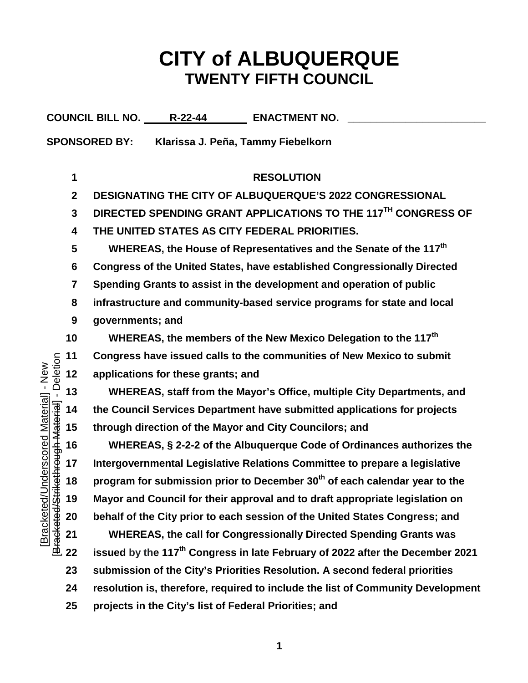## **CITY of ALBUQUERQUE TWENTY FIFTH COUNCIL**

COUNCIL BILL NO. R-22-44 **ENACTMENT NO. SPONSORED BY: Klarissa J. Peña, Tammy Fiebelkorn RESOLUTION DESIGNATING THE CITY OF ALBUQUERQUE'S 2022 CONGRESSIONAL DIRECTED SPENDING GRANT APPLICATIONS TO THE 117TH CONGRESS OF THE UNITED STATES AS CITY FEDERAL PRIORITIES. WHEREAS, the House of Representatives and the Senate of the 117th Congress of the United States, have established Congressionally Directed Spending Grants to assist in the development and operation of public infrastructure and community-based service programs for state and local governments; and WHEREAS, the members of the New Mexico Delegation to the 117th Congress have issued calls to the communities of New Mexico to submit**  Deletion [Bracketed/Strikethrough Material] - Deletion Bracketed/Underscored Material] - New [Bracketed/Underscored Material] - New **applications for these grants; and WHEREAS, staff from the Mayor's Office, multiple City Departments, and**  Bracketed/Strikethrough Material] - I **the Council Services Department have submitted applications for projects through direction of the Mayor and City Councilors; and WHEREAS, § 2-2-2 of the Albuquerque Code of Ordinances authorizes the Intergovernmental Legislative Relations Committee to prepare a legislative program for submission prior to December 30th of each calendar year to the Mayor and Council for their approval and to draft appropriate legislation on behalf of the City prior to each session of the United States Congress; and WHEREAS, the call for Congressionally Directed Spending Grants was issued by the 117th Congress in late February of 2022 after the December 2021 submission of the City's Priorities Resolution. A second federal priorities resolution is, therefore, required to include the list of Community Development projects in the City's list of Federal Priorities; and**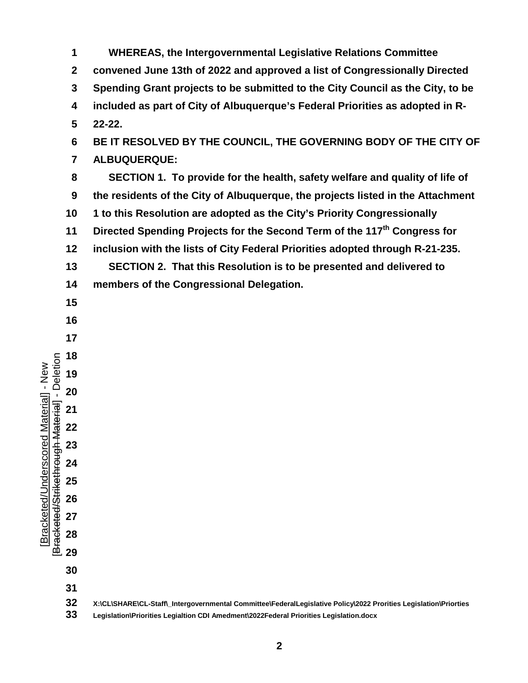**WHEREAS, the Intergovernmental Legislative Relations Committee convened June 13th of 2022 and approved a list of Congressionally Directed Spending Grant projects to be submitted to the City Council as the City, to be included as part of City of Albuquerque's Federal Priorities as adopted in R- 22-22. BE IT RESOLVED BY THE COUNCIL, THE GOVERNING BODY OF THE CITY OF ALBUQUERQUE: SECTION 1. To provide for the health, safety welfare and quality of life of the residents of the City of Albuquerque, the projects listed in the Attachment 1 to this Resolution are adopted as the City's Priority Congressionally Directed Spending Projects for the Second Term of the 117th Congress for inclusion with the lists of City Federal Priorities adopted through R-21-235. SECTION 2. That this Resolution is to be presented and delivered to members of the Congressional Delegation. X:\CL\SHARE\CL-Staff\\_Intergovernmental Committee\FederalLegislative Policy\2022 Prorities Legislation\Priorties Legislation\Priorities Legialtion CDI Amedment\2022Federal Priorities Legislation.docx**

[Bracketed/Underscored Material] - New [Bracketed/Strikethrough Material] - Deletion

Bracketed/Strikethrough Material] - Deletion Bracketed/Underscored Material] - New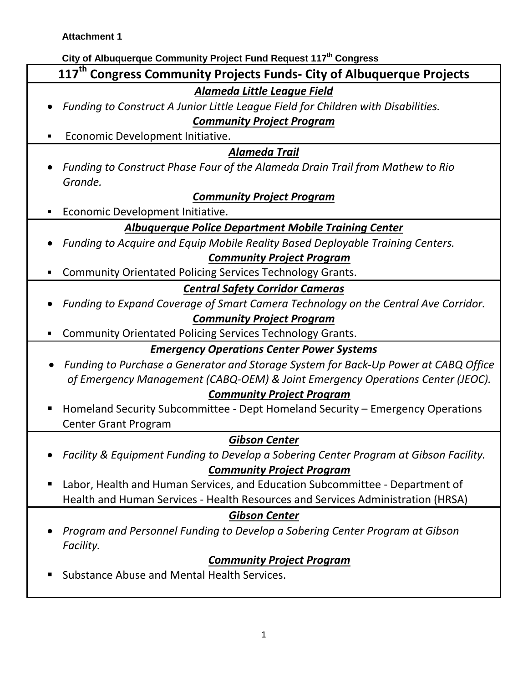## **City of Albuquerque Community Project Fund Request 117th Congress**

| City of Albuquerque Community Project Fund Request 117th Congress                     |
|---------------------------------------------------------------------------------------|
| 117 <sup>th</sup> Congress Community Projects Funds- City of Albuquerque Projects     |
| <b>Alameda Little League Field</b>                                                    |
| Funding to Construct A Junior Little League Field for Children with Disabilities.     |
| <b>Community Project Program</b>                                                      |
| Economic Development Initiative.                                                      |
| <b>Alameda Trail</b>                                                                  |
| Funding to Construct Phase Four of the Alameda Drain Trail from Mathew to Rio         |
| Grande.                                                                               |
| <b>Community Project Program</b>                                                      |
| Economic Development Initiative.                                                      |
| <b>Albuquerque Police Department Mobile Training Center</b>                           |
| Funding to Acquire and Equip Mobile Reality Based Deployable Training Centers.        |
| <b>Community Project Program</b>                                                      |
| <b>Community Orientated Policing Services Technology Grants.</b>                      |
| <b>Central Safety Corridor Cameras</b>                                                |
| Funding to Expand Coverage of Smart Camera Technology on the Central Ave Corridor.    |
| <b>Community Project Program</b>                                                      |
| <b>Community Orientated Policing Services Technology Grants.</b>                      |
| <b>Emergency Operations Center Power Systems</b>                                      |
| Funding to Purchase a Generator and Storage System for Back-Up Power at CABQ Office   |
| of Emergency Management (CABQ-OEM) & Joint Emergency Operations Center (JEOC).        |
| <b>Community Project Program</b>                                                      |
| Homeland Security Subcommittee - Dept Homeland Security - Emergency Operations        |
| <b>Center Grant Program</b>                                                           |
| <b>Gibson Center</b>                                                                  |
| Facility & Equipment Funding to Develop a Sobering Center Program at Gibson Facility. |
| <b>Community Project Program</b>                                                      |
| Labor, Health and Human Services, and Education Subcommittee - Department of          |
| Health and Human Services - Health Resources and Services Administration (HRSA)       |
| <b>Gibson Center</b>                                                                  |
| Program and Personnel Funding to Develop a Sobering Center Program at Gibson          |
| Facility.                                                                             |
| <b>Community Project Program</b>                                                      |
| Substance Abuse and Mental Health Services.                                           |
|                                                                                       |